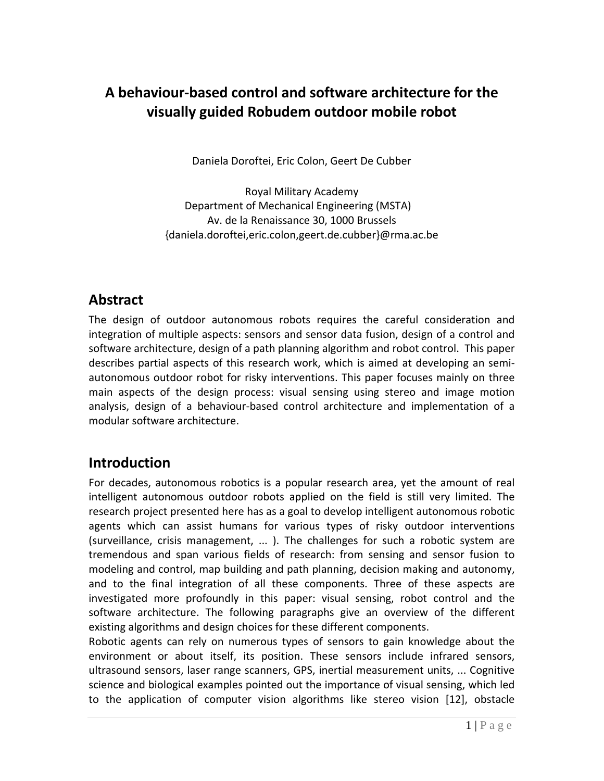## **A behaviour‐based control and software architecture for the visually guided Robudem outdoor mobile robot**

Daniela Doroftei, Eric Colon, Geert De Cubber

Royal Military Academy Department of Mechanical Engineering (MSTA) Av. de la Renaissance 30, 1000 Brussels {daniela.doroftei,eric.colon,geert.de.cubber}@rma.ac.be

### **Abstract**

The design of outdoor autonomous robots requires the careful consideration and integration of multiple aspects: sensors and sensor data fusion, design of a control and software architecture, design of a path planning algorithm and robot control. This paper describes partial aspects of this research work, which is aimed at developing an semi‐ autonomous outdoor robot for risky interventions. This paper focuses mainly on three main aspects of the design process: visual sensing using stereo and image motion analysis, design of a behaviour‐based control architecture and implementation of a modular software architecture.

# **Introduction**

For decades, autonomous robotics is a popular research area, yet the amount of real intelligent autonomous outdoor robots applied on the field is still very limited. The research project presented here has as a goal to develop intelligent autonomous robotic agents which can assist humans for various types of risky outdoor interventions (surveillance, crisis management, ... ). The challenges for such a robotic system are tremendous and span various fields of research: from sensing and sensor fusion to modeling and control, map building and path planning, decision making and autonomy, and to the final integration of all these components. Three of these aspects are investigated more profoundly in this paper: visual sensing, robot control and the software architecture. The following paragraphs give an overview of the different existing algorithms and design choices for these different components.

Robotic agents can rely on numerous types of sensors to gain knowledge about the environment or about itself, its position. These sensors include infrared sensors, ultrasound sensors, laser range scanners, GPS, inertial measurement units, ... Cognitive science and biological examples pointed out the importance of visual sensing, which led to the application of computer vision algorithms like stereo vision [12], obstacle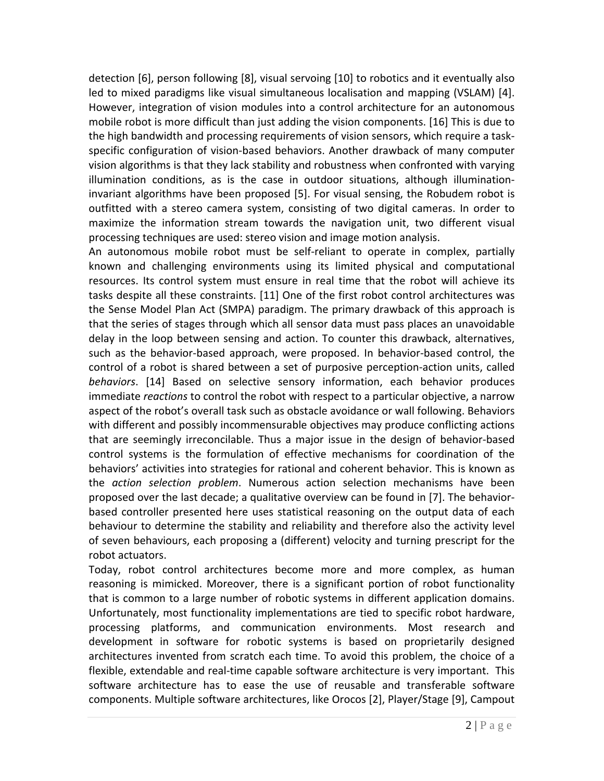detection [6], person following [8], visual servoing [10] to robotics and it eventually also led to mixed paradigms like visual simultaneous localisation and mapping (VSLAM) [4]. However, integration of vision modules into a control architecture for an autonomous mobile robot is more difficult than just adding the vision components. [16] This is due to the high bandwidth and processing requirements of vision sensors, which require a task‐ specific configuration of vision‐based behaviors. Another drawback of many computer vision algorithms is that they lack stability and robustness when confronted with varying illumination conditions, as is the case in outdoor situations, although illumination‐ invariant algorithms have been proposed [5]. For visual sensing, the Robudem robot is outfitted with a stereo camera system, consisting of two digital cameras. In order to maximize the information stream towards the navigation unit, two different visual processing techniques are used: stereo vision and image motion analysis.

An autonomous mobile robot must be self‐reliant to operate in complex, partially known and challenging environments using its limited physical and computational resources. Its control system must ensure in real time that the robot will achieve its tasks despite all these constraints. [11] One of the first robot control architectures was the Sense Model Plan Act (SMPA) paradigm. The primary drawback of this approach is that the series of stages through which all sensor data must pass places an unavoidable delay in the loop between sensing and action. To counter this drawback, alternatives, such as the behavior-based approach, were proposed. In behavior-based control, the control of a robot is shared between a set of purposive perception‐action units, called *behaviors*. [14] Based on selective sensory information, each behavior produces immediate *reactions* to control the robot with respect to a particular objective, a narrow aspect of the robot's overall task such as obstacle avoidance or wall following. Behaviors with different and possibly incommensurable objectives may produce conflicting actions that are seemingly irreconcilable. Thus a major issue in the design of behavior‐based control systems is the formulation of effective mechanisms for coordination of the behaviors' activities into strategies for rational and coherent behavior. This is known as the *action selection problem*. Numerous action selection mechanisms have been proposed over the last decade; a qualitative overview can be found in [7]. The behavior‐ based controller presented here uses statistical reasoning on the output data of each behaviour to determine the stability and reliability and therefore also the activity level of seven behaviours, each proposing a (different) velocity and turning prescript for the robot actuators.

Today, robot control architectures become more and more complex, as human reasoning is mimicked. Moreover, there is a significant portion of robot functionality that is common to a large number of robotic systems in different application domains. Unfortunately, most functionality implementations are tied to specific robot hardware, processing platforms, and communication environments. Most research and development in software for robotic systems is based on proprietarily designed architectures invented from scratch each time. To avoid this problem, the choice of a flexible, extendable and real‐time capable software architecture is very important. This software architecture has to ease the use of reusable and transferable software components. Multiple software architectures, like Orocos [2], Player/Stage [9], Campout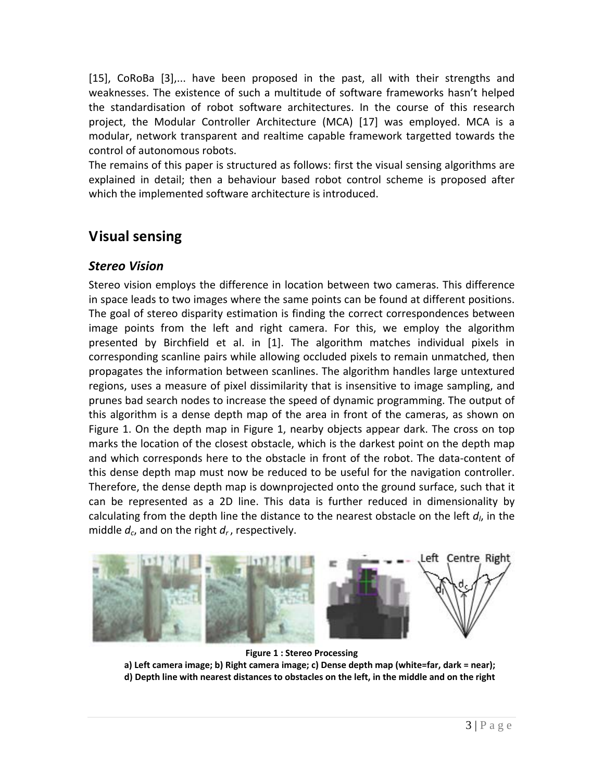[15], CoRoBa [3],... have been proposed in the past, all with their strengths and weaknesses. The existence of such a multitude of software frameworks hasn't helped the standardisation of robot software architectures. In the course of this research project, the Modular Controller Architecture (MCA) [17] was employed. MCA is a modular, network transparent and realtime capable framework targetted towards the control of autonomous robots.

The remains of this paper is structured as follows: first the visual sensing algorithms are explained in detail; then a behaviour based robot control scheme is proposed after which the implemented software architecture is introduced.

### **Visual sensing**

#### *Stereo Vision*

Stereo vision employs the difference in location between two cameras. This difference in space leads to two images where the same points can be found at different positions. The goal of stereo disparity estimation is finding the correct correspondences between image points from the left and right camera. For this, we employ the algorithm presented by Birchfield et al. in [1]. The algorithm matches individual pixels in corresponding scanline pairs while allowing occluded pixels to remain unmatched, then propagates the information between scanlines. The algorithm handles large untextured regions, uses a measure of pixel dissimilarity that is insensitive to image sampling, and prunes bad search nodes to increase the speed of dynamic programming. The output of this algorithm is a dense depth map of the area in front of the cameras, as shown on Figure 1. On the depth map in Figure 1, nearby objects appear dark. The cross on top marks the location of the closest obstacle, which is the darkest point on the depth map and which corresponds here to the obstacle in front of the robot. The data‐content of this dense depth map must now be reduced to be useful for the navigation controller. Therefore, the dense depth map is downprojected onto the ground surface, such that it can be represented as a 2D line. This data is further reduced in dimensionality by calculating from the depth line the distance to the nearest obstacle on the left *dl*, in the middle *dc*, and on the right *dr* , respectively.



**Figure 1 : Stereo Processing a) Left camera image; b) Right camera image; c) Dense depth map (white=far, dark = near); d) Depth line with nearest distances to obstacles on the left, in the middle and on the right**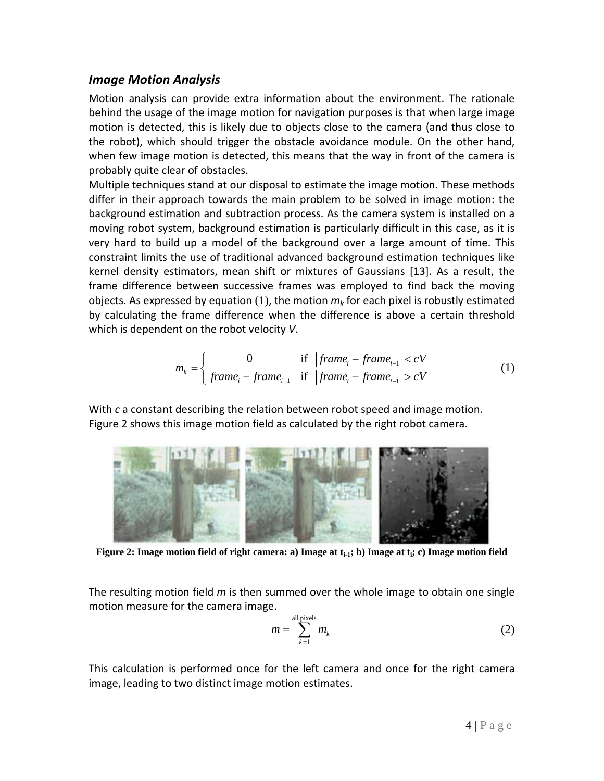#### *Image Motion Analysis*

Motion analysis can provide extra information about the environment. The rationale behind the usage of the image motion for navigation purposes is that when large image motion is detected, this is likely due to objects close to the camera (and thus close to the robot), which should trigger the obstacle avoidance module. On the other hand, when few image motion is detected, this means that the way in front of the camera is probably quite clear of obstacles.

Multiple techniques stand at our disposal to estimate the image motion. These methods differ in their approach towards the main problem to be solved in image motion: the background estimation and subtraction process. As the camera system is installed on a moving robot system, background estimation is particularly difficult in this case, as it is very hard to build up a model of the background over a large amount of time. This constraint limits the use of traditional advanced background estimation techniques like kernel density estimators, mean shift or mixtures of Gaussians [13]. As a result, the frame difference between successive frames was employed to find back the moving objects. As expressed by equation  $(1)$ , the motion  $m_k$  for each pixel is robustly estimated by calculating the frame difference when the difference is above a certain threshold which is dependent on the robot velocity *V*.

$$
m_{k} = \begin{cases} 0 & \text{if } |frame_{i} - frame_{i-1}| < cV \\ |frame_{i} - frame_{i-1}| & \text{if } |frame_{i} - frame_{i-1}| > cV \end{cases}
$$
 (1)

With *c* a constant describing the relation between robot speed and image motion. Figure 2 shows this image motion field as calculated by the right robot camera.



Figure 2: Image motion field of right camera: a) Image at t<sub>i-1</sub>; b) Image at t<sub>i</sub>; c) Image motion field

The resulting motion field *m* is then summed over the whole image to obtain one single motion measure for the camera image.

$$
m = \sum_{k=1}^{\text{all pixels}} m_k \tag{2}
$$

This calculation is performed once for the left camera and once for the right camera image, leading to two distinct image motion estimates.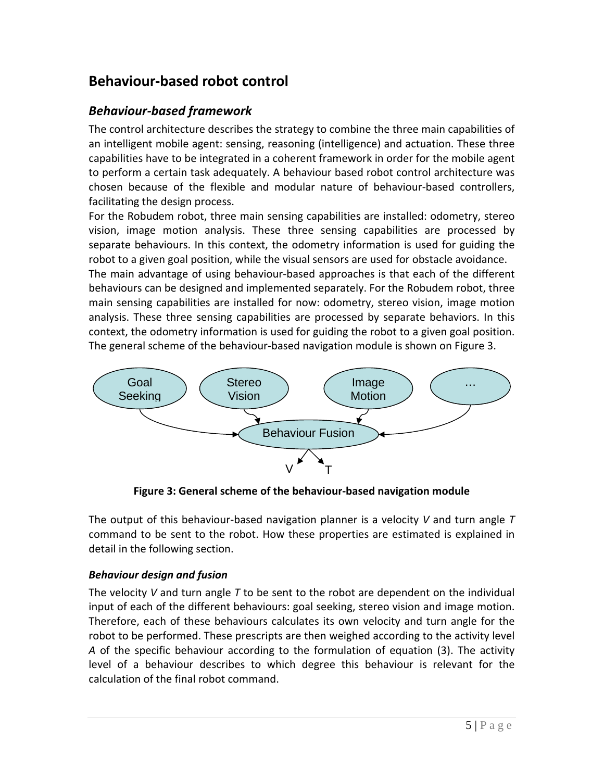# **Behaviour‐based robot control**

### *Behaviour‐based framework*

The control architecture describes the strategy to combine the three main capabilities of an intelligent mobile agent: sensing, reasoning (intelligence) and actuation. These three capabilities have to be integrated in a coherent framework in order for the mobile agent to perform a certain task adequately. A behaviour based robot control architecture was chosen because of the flexible and modular nature of behaviour‐based controllers, facilitating the design process.

For the Robudem robot, three main sensing capabilities are installed: odometry, stereo vision, image motion analysis. These three sensing capabilities are processed by separate behaviours. In this context, the odometry information is used for guiding the robot to a given goal position, while the visual sensors are used for obstacle avoidance.

The main advantage of using behaviour‐based approaches is that each of the different behaviours can be designed and implemented separately. For the Robudem robot, three main sensing capabilities are installed for now: odometry, stereo vision, image motion analysis. These three sensing capabilities are processed by separate behaviors. In this context, the odometry information is used for guiding the robot to a given goal position. The general scheme of the behaviour‐based navigation module is shown on Figure 3.



**Figure 3: General scheme of the behaviour‐based navigation module**

The output of this behaviour‐based navigation planner is a velocity *V* and turn angle *T* command to be sent to the robot. How these properties are estimated is explained in detail in the following section.

### *Behaviour design and fusion*

The velocity *V* and turn angle *T* to be sent to the robot are dependent on the individual input of each of the different behaviours: goal seeking, stereo vision and image motion. Therefore, each of these behaviours calculates its own velocity and turn angle for the robot to be performed. These prescripts are then weighed according to the activity level *A* of the specific behaviour according to the formulation of equation (3). The activity level of a behaviour describes to which degree this behaviour is relevant for the calculation of the final robot command.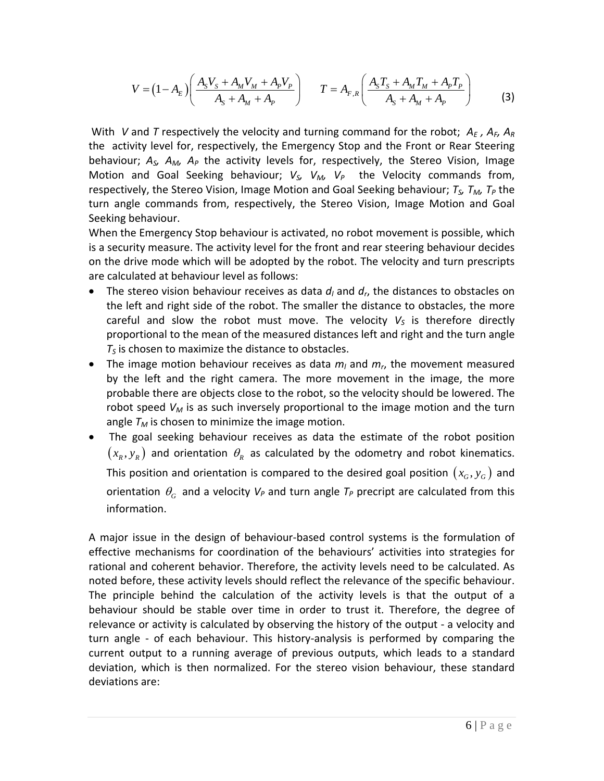$$
V = (1 - A_E) \left( \frac{A_S V_S + A_M V_M + A_P V_P}{A_S + A_M + A_P} \right) \qquad T = A_{F,R} \left( \frac{A_S T_S + A_M T_M + A_P T_P}{A_S + A_M + A_P} \right) \tag{3}
$$

With *V* and *T* respectively the velocity and turning command for the robot;  $A_E$ ,  $A_E$ ,  $A_R$ the activity level for, respectively, the Emergency Stop and the Front or Rear Steering behaviour; *AS, AM, AP* the activity levels for, respectively, the Stereo Vision, Image Motion and Goal Seeking behaviour;  $V_{S}$ ,  $V_{M}$ ,  $V_{P}$  the Velocity commands from, respectively, the Stereo Vision, Image Motion and Goal Seeking behaviour;  $T_S$ ,  $T_M$ ,  $T_P$  the turn angle commands from, respectively, the Stereo Vision, Image Motion and Goal Seeking behaviour.

When the Emergency Stop behaviour is activated, no robot movement is possible, which is a security measure. The activity level for the front and rear steering behaviour decides on the drive mode which will be adopted by the robot. The velocity and turn prescripts are calculated at behaviour level as follows:

- The stereo vision behaviour receives as data  $d_l$  and  $d_r$ , the distances to obstacles on the left and right side of the robot. The smaller the distance to obstacles, the more careful and slow the robot must move. The velocity  $V_s$  is therefore directly proportional to the mean of the measured distances left and right and the turn angle  $T<sub>S</sub>$  is chosen to maximize the distance to obstacles.
- The image motion behaviour receives as data  $m_l$  and  $m_r$ , the movement measured by the left and the right camera. The more movement in the image, the more probable there are objects close to the robot, so the velocity should be lowered. The robot speed  $V_M$  is as such inversely proportional to the image motion and the turn angle  $T_M$  is chosen to minimize the image motion.
- The goal seeking behaviour receives as data the estimate of the robot position  $(x_k, y_k)$  and orientation  $\theta_k$  as calculated by the odometry and robot kinematics. This position and orientation is compared to the desired goal position  $(x_G, y_G)$  and orientation  $\theta_{G}$  and a velocity  $V_{P}$  and turn angle  $T_{P}$  precript are calculated from this information.

A major issue in the design of behaviour‐based control systems is the formulation of effective mechanisms for coordination of the behaviours' activities into strategies for rational and coherent behavior. Therefore, the activity levels need to be calculated. As noted before, these activity levels should reflect the relevance of the specific behaviour. The principle behind the calculation of the activity levels is that the output of a behaviour should be stable over time in order to trust it. Therefore, the degree of relevance or activity is calculated by observing the history of the output ‐ a velocity and turn angle ‐ of each behaviour. This history‐analysis is performed by comparing the current output to a running average of previous outputs, which leads to a standard deviation, which is then normalized. For the stereo vision behaviour, these standard deviations are: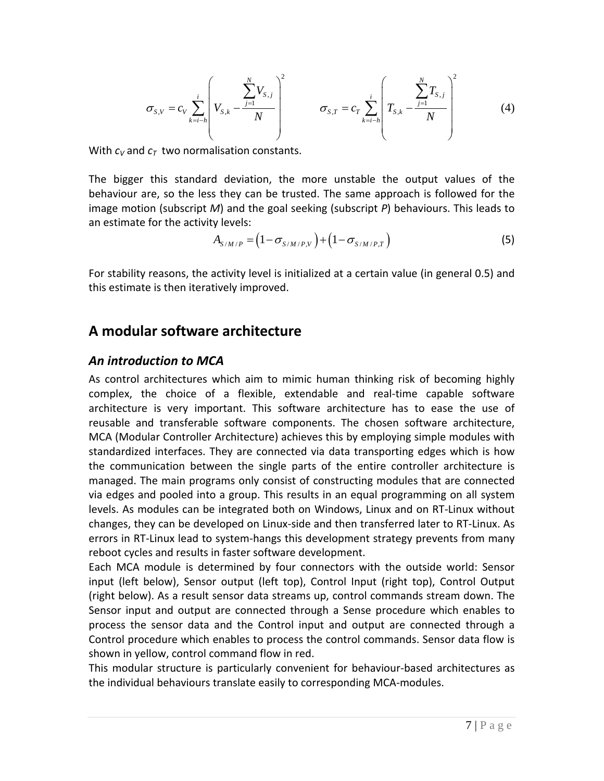$$
\sigma_{s,v} = c_v \sum_{k=i-h}^{i} \left( V_{s,k} - \frac{\sum_{j=1}^{N} V_{s,j}}{N} \right)^2 \qquad \sigma_{s,T} = c_T \sum_{k=i-h}^{i} \left( T_{s,k} - \frac{\sum_{j=1}^{N} T_{s,j}}{N} \right)^2 \qquad (4)
$$

With  $c_V$  and  $c_T$  two normalisation constants.

The bigger this standard deviation, the more unstable the output values of the behaviour are, so the less they can be trusted. The same approach is followed for the image motion (subscript *M*) and the goal seeking (subscript *P*) behaviours. This leads to an estimate for the activity levels:

$$
A_{S/M/P} = (1 - \sigma_{S/M/P,V}) + (1 - \sigma_{S/M/P,T})
$$
\n(5)

For stability reasons, the activity level is initialized at a certain value (in general 0.5) and this estimate is then iteratively improved.

### **A modular software architecture**

#### *An introduction to MCA*

As control architectures which aim to mimic human thinking risk of becoming highly complex, the choice of a flexible, extendable and real‐time capable software architecture is very important. This software architecture has to ease the use of reusable and transferable software components. The chosen software architecture, MCA (Modular Controller Architecture) achieves this by employing simple modules with standardized interfaces. They are connected via data transporting edges which is how the communication between the single parts of the entire controller architecture is managed. The main programs only consist of constructing modules that are connected via edges and pooled into a group. This results in an equal programming on all system levels. As modules can be integrated both on Windows, Linux and on RT‐Linux without changes, they can be developed on Linux‐side and then transferred later to RT‐Linux. As errors in RT‐Linux lead to system‐hangs this development strategy prevents from many reboot cycles and results in faster software development.

Each MCA module is determined by four connectors with the outside world: Sensor input (left below), Sensor output (left top), Control Input (right top), Control Output (right below). As a result sensor data streams up, control commands stream down. The Sensor input and output are connected through a Sense procedure which enables to process the sensor data and the Control input and output are connected through a Control procedure which enables to process the control commands. Sensor data flow is shown in yellow, control command flow in red.

This modular structure is particularly convenient for behaviour‐based architectures as the individual behaviours translate easily to corresponding MCA‐modules.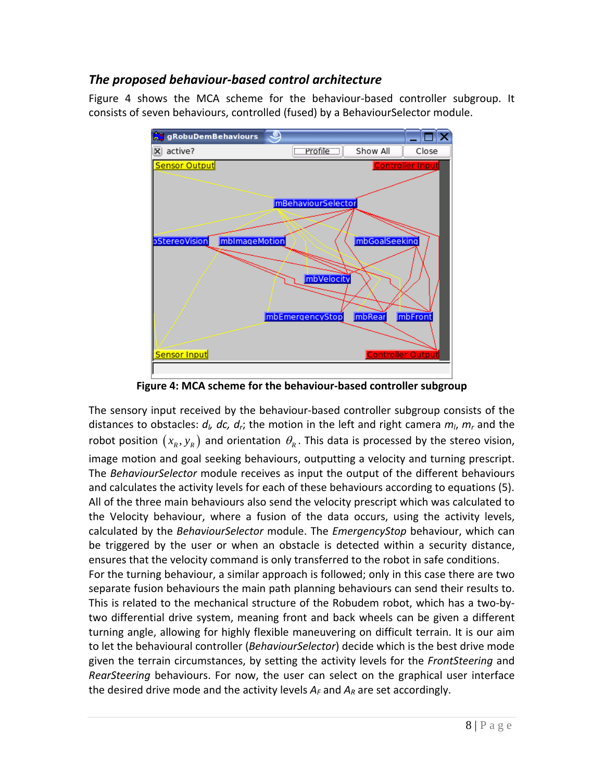### *The proposed behaviour‐based control architecture*

Figure 4 shows the MCA scheme for the behaviour‐based controller subgroup. It consists of seven behaviours, controlled (fused) by a BehaviourSelector module.



**Figure 4: MCA scheme for the behaviour‐based controller subgroup**

The sensory input received by the behaviour‐based controller subgroup consists of the distances to obstacles:  $d_l$ ,  $dc$ ,  $d_r$ ; the motion in the left and right camera  $m_l$ ,  $m_r$  and the robot position  $(x_k, y_k)$  and orientation  $\theta_k$ . This data is processed by the stereo vision, image motion and goal seeking behaviours, outputting a velocity and turning prescript. The *BehaviourSelector* module receives as input the output of the different behaviours and calculates the activity levels for each of these behaviours according to equations (5). All of the three main behaviours also send the velocity prescript which was calculated to the Velocity behaviour, where a fusion of the data occurs, using the activity levels, calculated by the *BehaviourSelector* module. The *EmergencyStop* behaviour, which can be triggered by the user or when an obstacle is detected within a security distance, ensures that the velocity command is only transferred to the robot in safe conditions. For the turning behaviour, a similar approach is followed; only in this case there are two separate fusion behaviours the main path planning behaviours can send their results to. This is related to the mechanical structure of the Robudem robot, which has a two‐by‐ two differential drive system, meaning front and back wheels can be given a different turning angle, allowing for highly flexible maneuvering on difficult terrain. It is our aim to let the behavioural controller (*BehaviourSelector*) decide which is the best drive mode given the terrain circumstances, by setting the activity levels for the *FrontSteering* and *RearSteering* behaviours. For now, the user can select on the graphical user interface the desired drive mode and the activity levels  $A_F$  and  $A_R$  are set accordingly.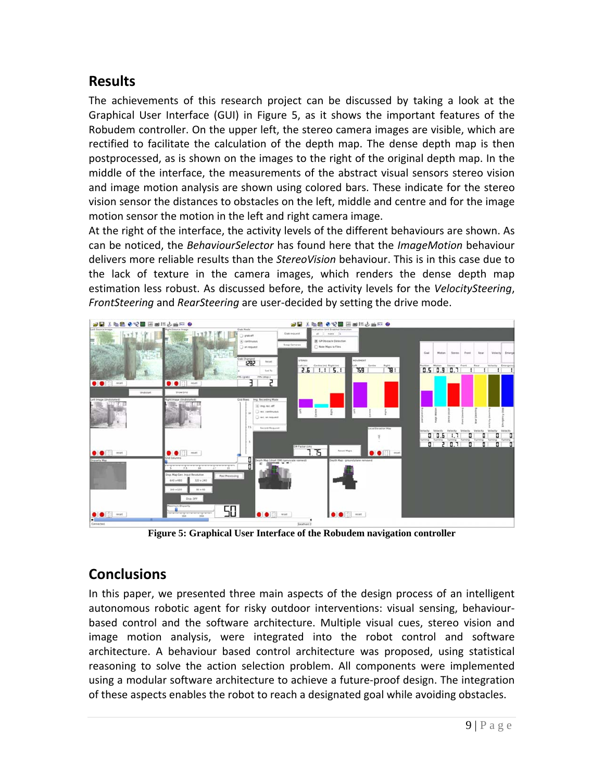### **Results**

The achievements of this research project can be discussed by taking a look at the Graphical User Interface (GUI) in Figure 5, as it shows the important features of the Robudem controller. On the upper left, the stereo camera images are visible, which are rectified to facilitate the calculation of the depth map. The dense depth map is then postprocessed, as is shown on the images to the right of the original depth map. In the middle of the interface, the measurements of the abstract visual sensors stereo vision and image motion analysis are shown using colored bars. These indicate for the stereo vision sensor the distances to obstacles on the left, middle and centre and for the image motion sensor the motion in the left and right camera image.

At the right of the interface, the activity levels of the different behaviours are shown. As can be noticed, the *BehaviourSelector* has found here that the *ImageMotion* behaviour delivers more reliable results than the *StereoVision* behaviour. This is in this case due to the lack of texture in the camera images, which renders the dense depth map estimation less robust. As discussed before, the activity levels for the *VelocitySteering*, *FrontSteering* and *RearSteering* are user‐decided by setting the drive mode.



**Figure 5: Graphical User Interface of the Robudem navigation controller** 

# **Conclusions**

In this paper, we presented three main aspects of the design process of an intelligent autonomous robotic agent for risky outdoor interventions: visual sensing, behaviour‐ based control and the software architecture. Multiple visual cues, stereo vision and image motion analysis, were integrated into the robot control and software architecture. A behaviour based control architecture was proposed, using statistical reasoning to solve the action selection problem. All components were implemented using a modular software architecture to achieve a future‐proof design. The integration of these aspects enables the robot to reach a designated goal while avoiding obstacles.